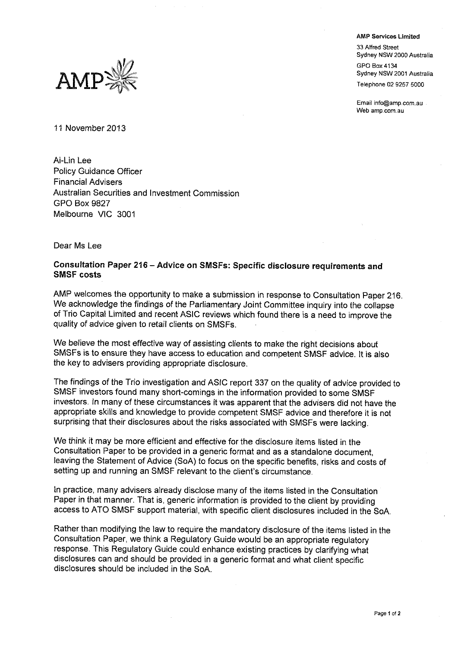**AMP Services Limited** 33 Alfred Street Sydney NSW 2000 Australia GPO Box 4134 Sydney NSW 2001 Australia

Telephone 02 9257 5000

Email info@amp.com.au Web amp com au



11 November 2013

Ai-Lin Lee **Policy Guidance Officer Financial Advisers** Australian Securities and Investment Commission **GPO Box 9827** Melbourne VIC 3001

Dear Ms Lee

## Consultation Paper 216 - Advice on SMSFs: Specific disclosure requirements and **SMSF costs**

AMP welcomes the opportunity to make a submission in response to Consultation Paper 216. We acknowledge the findings of the Parliamentary Joint Committee inquiry into the collapse of Trio Capital Limited and recent ASIC reviews which found there is a need to improve the quality of advice given to retail clients on SMSFs.

We believe the most effective way of assisting clients to make the right decisions about SMSFs is to ensure they have access to education and competent SMSF advice. It is also the key to advisers providing appropriate disclosure.

The findings of the Trio investigation and ASIC report 337 on the quality of advice provided to SMSF investors found many short-comings in the information provided to some SMSF investors. In many of these circumstances it was apparent that the advisers did not have the appropriate skills and knowledge to provide competent SMSF advice and therefore it is not surprising that their disclosures about the risks associated with SMSFs were lacking.

We think it may be more efficient and effective for the disclosure items listed in the Consultation Paper to be provided in a generic format and as a standalone document. leaving the Statement of Advice (SoA) to focus on the specific benefits, risks and costs of setting up and running an SMSF relevant to the client's circumstance.

In practice, many advisers already disclose many of the items listed in the Consultation Paper in that manner. That is, generic information is provided to the client by providing access to ATO SMSF support material, with specific client disclosures included in the SoA.

Rather than modifying the law to require the mandatory disclosure of the items listed in the Consultation Paper, we think a Regulatory Guide would be an appropriate regulatory response. This Regulatory Guide could enhance existing practices by clarifying what disclosures can and should be provided in a generic format and what client specific disclosures should be included in the SoA.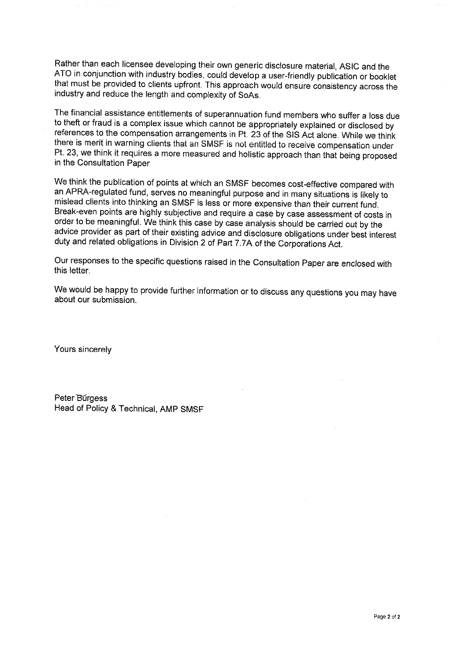Rather than each licensee developing their own generic disclosure material, ASIC and the ATO in conjunction with industry bodies, could develop a user-friendly publication or booklet that must be provided to clients upfront. This approach would ensure consistency across the industry and reduce the length and complexity of SoAs.

The financial assistance entitlements of superannuation fund members who suffer a loss due to theft or fraud is a complex issue which cannot be appropriately explained or disclosed by references to the compensation arrangements in Pt. 23 of the SIS Act alone. While we think there is merit in warning clients that an SMSF is not entitled to receive compensation under Pt. 23, we think it requires a more measured and holistic approach than that being proposed in the Consultation Paper

We think the publication of points at which an SMSF becomes cost-effective compared with an APRA-regulated fund, serves no meaningful purpose and in many situations is likely to mislead clients into thinking an SMSF is less or more expensive than their current fund. Break-even points are highly subjective and require a case by case assessment of costs in order to be meaningful. We think this case by case analysis should be carried out by the advice provider as part of their existing advice and disclosure obligations under best interest duty and related obligations in Division 2 of Part 7.7A of the Corporations Act.

Our responses to the specific questions raised in the Consultation Paper are enclosed with this letter.

We would be happy to provide further information or to discuss any questions you may have about our submission.

Yours sincerely

Peter Burgess Head of Policy & Technical, AMP SMSF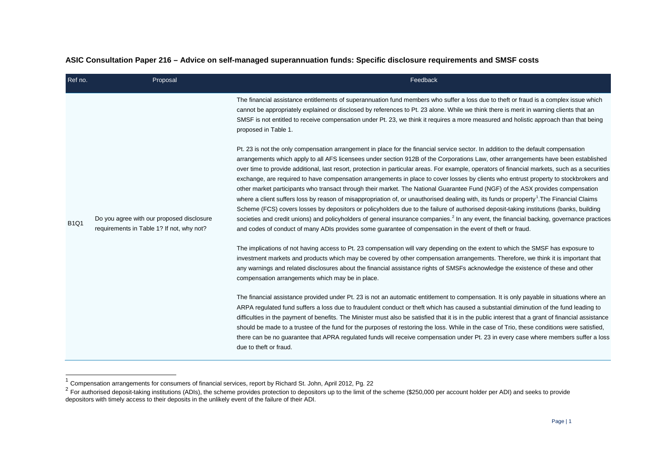## <span id="page-2-1"></span><span id="page-2-0"></span>**ASIC Consultation Paper 216 – Advice on self-managed superannuation funds: Specific disclosure requirements and SMSF costs**

| Ref no.     | Proposal                                                                               | Feedback                                                                                                                                                                                                                                                                                                                                                                                                                                                                                                                                                                                                                                                                                                                                                                                                                                                                                                                                                                                                                                                                                                                                                                                                                                                                          |
|-------------|----------------------------------------------------------------------------------------|-----------------------------------------------------------------------------------------------------------------------------------------------------------------------------------------------------------------------------------------------------------------------------------------------------------------------------------------------------------------------------------------------------------------------------------------------------------------------------------------------------------------------------------------------------------------------------------------------------------------------------------------------------------------------------------------------------------------------------------------------------------------------------------------------------------------------------------------------------------------------------------------------------------------------------------------------------------------------------------------------------------------------------------------------------------------------------------------------------------------------------------------------------------------------------------------------------------------------------------------------------------------------------------|
|             | Do you agree with our proposed disclosure<br>requirements in Table 1? If not, why not? | The financial assistance entitlements of superannuation fund members who suffer a loss due to theft or fraud is a complex issue which<br>cannot be appropriately explained or disclosed by references to Pt. 23 alone. While we think there is merit in warning clients that an<br>SMSF is not entitled to receive compensation under Pt. 23, we think it requires a more measured and holistic approach than that being<br>proposed in Table 1.                                                                                                                                                                                                                                                                                                                                                                                                                                                                                                                                                                                                                                                                                                                                                                                                                                  |
| <b>B1Q1</b> |                                                                                        | Pt. 23 is not the only compensation arrangement in place for the financial service sector. In addition to the default compensation<br>arrangements which apply to all AFS licensees under section 912B of the Corporations Law, other arrangements have been established<br>over time to provide additional, last resort, protection in particular areas. For example, operators of financial markets, such as a securities<br>exchange, are required to have compensation arrangements in place to cover losses by clients who entrust property to stockbrokers and<br>other market participants who transact through their market. The National Guarantee Fund (NGF) of the ASX provides compensation<br>where a client suffers loss by reason of misappropriation of, or unauthorised dealing with, its funds or property <sup>1</sup> . The Financial Claims<br>Scheme (FCS) covers losses by depositors or policyholders due to the failure of authorised deposit-taking institutions (banks, building<br>societies and credit unions) and policyholders of general insurance companies. <sup>2</sup> In any event, the financial backing, governance practices<br>and codes of conduct of many ADIs provides some guarantee of compensation in the event of theft or fraud. |
|             |                                                                                        | The implications of not having access to Pt. 23 compensation will vary depending on the extent to which the SMSF has exposure to<br>investment markets and products which may be covered by other compensation arrangements. Therefore, we think it is important that<br>any warnings and related disclosures about the financial assistance rights of SMSFs acknowledge the existence of these and other<br>compensation arrangements which may be in place.                                                                                                                                                                                                                                                                                                                                                                                                                                                                                                                                                                                                                                                                                                                                                                                                                     |
|             |                                                                                        | The financial assistance provided under Pt. 23 is not an automatic entitlement to compensation. It is only payable in situations where an<br>ARPA regulated fund suffers a loss due to fraudulent conduct or theft which has caused a substantial diminution of the fund leading to<br>difficulties in the payment of benefits. The Minister must also be satisfied that it is in the public interest that a grant of financial assistance<br>should be made to a trustee of the fund for the purposes of restoring the loss. While in the case of Trio, these conditions were satisfied,<br>there can be no guarantee that APRA regulated funds will receive compensation under Pt. 23 in every case where members suffer a loss<br>due to theft or fraud.                                                                                                                                                                                                                                                                                                                                                                                                                                                                                                                       |

Ę

 $1$  Compensation arrangements for consumers of financial services, report by Richard St. John, April 2012, Pg. 22

 $^2$  For authorised deposit-taking institutions (ADIs), the scheme provides protection to depositors up to the limit of the scheme (\$250,000 per account holder per ADI) and seeks to provide depositors with timely access to their deposits in the unlikely event of the failure of their ADI.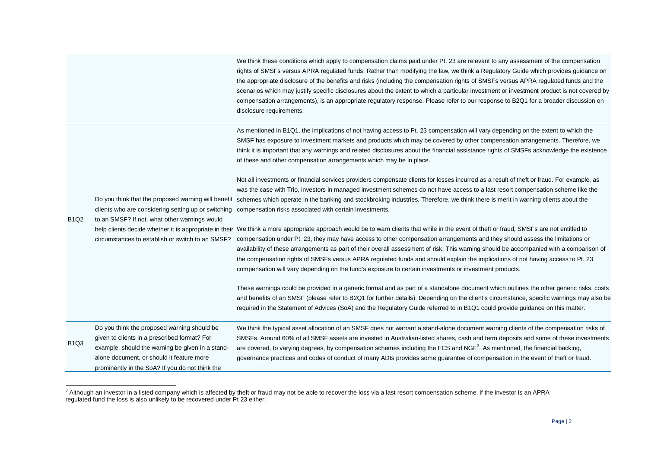<span id="page-3-0"></span>

| We think these conditions which apply to compensation claims paid under Pt. 23 are relevant to any assessment of the compensation          |
|--------------------------------------------------------------------------------------------------------------------------------------------|
| rights of SMSFs versus APRA regulated funds. Rather than modifying the law, we think a Regulatory Guide which provides guidance on         |
| the appropriate disclosure of the benefits and risks (including the compensation rights of SMSFs versus APRA regulated funds and the       |
| scenarios which may justify specific disclosures about the extent to which a particular investment or investment product is not covered by |
| compensation arrangements), is an appropriate regulatory response. Please refer to our response to B2Q1 for a broader discussion on        |
| disclosure requirements.                                                                                                                   |

As mentioned in B1Q1, the implications of not having access to Pt. 23 compensation will vary depending on the extent to which the SMSF has exposure to investment markets and products which may be covered by other compensation arrangements. Therefore, we think it is important that any warnings and related disclosures about the financial assistance rights of SMSFs acknowledge the existence of these and other compensation arrangements which may be in place.

Do you think that the proposed warning will benefit schemes which operate in the banking and stockbroking industries. Therefore, we think there is merit in warning clients about the clients who are considering setting up or switching compensation risks associated with certain investments. Not all investments or financial services providers compensate clients for losses incurred as a result of theft or fraud. For example, as was the case with Trio, investors in managed investment schemes do not have access to a last resort compensation scheme like the

B1Q2 to an SMSF? If not, what other warnings would

 $\overline{a}$ 

help clients decide whether it is appropriate in their We think a more appropriate approach would be to warn clients that while in the event of theft or fraud, SMSFs are not entitled to circumstances to establish or switch to an SMSF? compensation under Pt. 23, they may have access to other compensation arrangements and they should assess the limitations or availability of these arrangements as part of their overall assessment of risk. This warning should be accompanied with a comparison of the compensation rights of SMSFs versus APRA regulated funds and should explain the implications of not having access to Pt. 23 compensation will vary depending on the fund's exposure to certain investments or investment products.

> These warnings could be provided in a generic format and as part of a standalone document which outlines the other generic risks, costs and benefits of an SMSF (please refer to B2Q1 for further details). Depending on the client's circumstance, specific warnings may also be required in the Statement of Advices (SoA) and the Regulatory Guide referred to in B1Q1 could provide guidance on this matter.

B1Q3 Do you think the proposed warning should be given to clients in a prescribed format? For example, should the warning be given in a standalone document, or should it feature more prominently in the SoA? If you do not think the We think the typical asset allocation of an SMSF does not warrant a stand-alone document warning clients of the compensation risks of SMSFs. Around 60% of all SMSF assets are invested in Australian-listed shares, cash and term deposits and some of these investments are covered, to varying degrees, by compensation schemes including the FCS and NGF<sup>[3](#page-3-0)</sup>. As mentioned, the financial backing, governance practices and codes of conduct of many ADIs provides some guarantee of compensation in the event of theft or fraud.

<sup>&</sup>lt;sup>3</sup> Although an investor in a listed company which is affected by theft or fraud may not be able to recover the loss via a last resort compensation scheme, if the investor is an APRA regulated fund the loss is also unlikely to be recovered under Pt 23 either.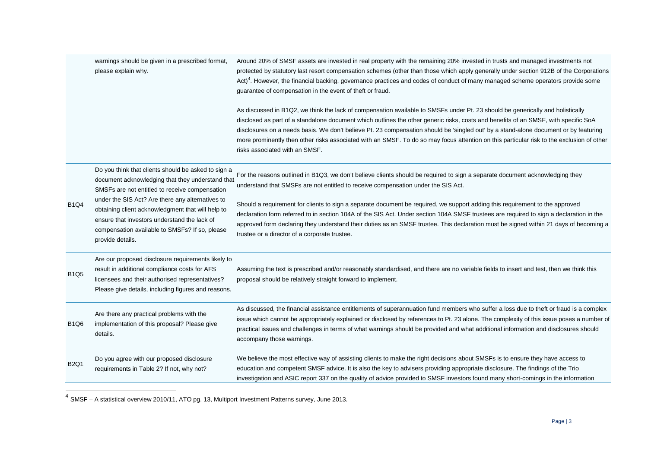<span id="page-4-0"></span>

|             | warnings should be given in a prescribed format,<br>please explain why.                                                                                                                                                                                                                                                                                                                  | Around 20% of SMSF assets are invested in real property with the remaining 20% invested in trusts and managed investments not<br>protected by statutory last resort compensation schemes (other than those which apply generally under section 912B of the Corporations<br>Act) <sup>4</sup> . However, the financial backing, governance practices and codes of conduct of many managed scheme operators provide some<br>guarantee of compensation in the event of theft or fraud.                                                                                                                                                                                                    |  |  |
|-------------|------------------------------------------------------------------------------------------------------------------------------------------------------------------------------------------------------------------------------------------------------------------------------------------------------------------------------------------------------------------------------------------|----------------------------------------------------------------------------------------------------------------------------------------------------------------------------------------------------------------------------------------------------------------------------------------------------------------------------------------------------------------------------------------------------------------------------------------------------------------------------------------------------------------------------------------------------------------------------------------------------------------------------------------------------------------------------------------|--|--|
|             |                                                                                                                                                                                                                                                                                                                                                                                          | As discussed in B1Q2, we think the lack of compensation available to SMSFs under Pt. 23 should be generically and holistically<br>disclosed as part of a standalone document which outlines the other generic risks, costs and benefits of an SMSF, with specific SoA<br>disclosures on a needs basis. We don't believe Pt. 23 compensation should be 'singled out' by a stand-alone document or by featuring<br>more prominently then other risks associated with an SMSF. To do so may focus attention on this particular risk to the exclusion of other<br>risks associated with an SMSF.                                                                                           |  |  |
| <b>B1Q4</b> | Do you think that clients should be asked to sign a<br>document acknowledging that they understand that<br>SMSFs are not entitled to receive compensation<br>under the SIS Act? Are there any alternatives to<br>obtaining client acknowledgment that will help to<br>ensure that investors understand the lack of<br>compensation available to SMSFs? If so, please<br>provide details. | For the reasons outlined in B1Q3, we don't believe clients should be required to sign a separate document acknowledging they<br>understand that SMSFs are not entitled to receive compensation under the SIS Act.<br>Should a requirement for clients to sign a separate document be required, we support adding this requirement to the approved<br>declaration form referred to in section 104A of the SIS Act. Under section 104A SMSF trustees are required to sign a declaration in the<br>approved form declaring they understand their duties as an SMSF trustee. This declaration must be signed within 21 days of becoming a<br>trustee or a director of a corporate trustee. |  |  |
| <b>B1Q5</b> | Are our proposed disclosure requirements likely to<br>result in additional compliance costs for AFS<br>licensees and their authorised representatives?<br>Please give details, including figures and reasons.                                                                                                                                                                            | Assuming the text is prescribed and/or reasonably standardised, and there are no variable fields to insert and test, then we think this<br>proposal should be relatively straight forward to implement.                                                                                                                                                                                                                                                                                                                                                                                                                                                                                |  |  |
| <b>B1Q6</b> | Are there any practical problems with the<br>implementation of this proposal? Please give<br>details.                                                                                                                                                                                                                                                                                    | As discussed, the financial assistance entitlements of superannuation fund members who suffer a loss due to theft or fraud is a complex<br>issue which cannot be appropriately explained or disclosed by references to Pt. 23 alone. The complexity of this issue poses a number of<br>practical issues and challenges in terms of what warnings should be provided and what additional information and disclosures should<br>accompany those warnings.                                                                                                                                                                                                                                |  |  |
| <b>B2Q1</b> | Do you agree with our proposed disclosure<br>requirements in Table 2? If not, why not?                                                                                                                                                                                                                                                                                                   | We believe the most effective way of assisting clients to make the right decisions about SMSFs is to ensure they have access to<br>education and competent SMSF advice. It is also the key to advisers providing appropriate disclosure. The findings of the Trio<br>investigation and ASIC report 337 on the quality of advice provided to SMSF investors found many short-comings in the information                                                                                                                                                                                                                                                                                 |  |  |

 $<sup>4</sup>$  SMSF – A statistical overview 2010/11, ATO pg. 13, Multiport Investment Patterns survey, June 2013.</sup>

Ę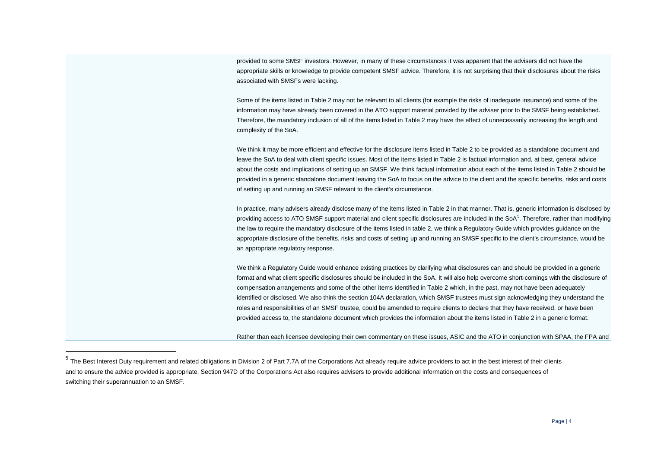<span id="page-5-0"></span>provided to some SMSF investors. However, in many of these circumstances it was apparent that the advisers did not have the appropriate skills or knowledge to provide competent SMSF advice. Therefore, it is not surprising that their disclosures about the risks associated with SMSFs were lacking.

Some of the items listed in Table 2 may not be relevant to all clients (for example the risks of inadequate insurance) and some of the information may have already been covered in the ATO support material provided by the adviser prior to the SMSF being established. Therefore, the mandatory inclusion of all of the items listed in Table 2 may have the effect of unnecessarily increasing the length and complexity of the SoA.

We think it may be more efficient and effective for the disclosure items listed in Table 2 to be provided as a standalone document and leave the SoA to deal with client specific issues. Most of the items listed in Table 2 is factual information and, at best, general advice about the costs and implications of setting up an SMSF. We think factual information about each of the items listed in Table 2 should be provided in a generic standalone document leaving the SoA to focus on the advice to the client and the specific benefits, risks and costs of setting up and running an SMSF relevant to the client's circumstance.

In practice, many advisers already disclose many of the items listed in Table 2 in that manner. That is, generic information is disclosed by providing access to ATO SMSF support material and client specific disclosures are included in the SoA<sup>[5](#page-5-0)</sup>. Therefore, rather than modifying the law to require the mandatory disclosure of the items listed in table 2, we think a Regulatory Guide which provides guidance on the appropriate disclosure of the benefits, risks and costs of setting up and running an SMSF specific to the client's circumstance, would be an appropriate regulatory response.

We think a Regulatory Guide would enhance existing practices by clarifying what disclosures can and should be provided in a generic format and what client specific disclosures should be included in the SoA. It will also help overcome short-comings with the disclosure of compensation arrangements and some of the other items identified in Table 2 which, in the past, may not have been adequately identified or disclosed. We also think the section 104A declaration, which SMSF trustees must sign acknowledging they understand the roles and responsibilities of an SMSF trustee, could be amended to require clients to declare that they have received, or have been provided access to, the standalone document which provides the information about the items listed in Table 2 in a generic format.

Rather than each licensee developing their own commentary on these issues, ASIC and the ATO in conjunction with SPAA, the FPA and

-

 $5$  The Best Interest Dutv requirement and related obligations in Division 2 of Part 7.7A of the Corporations Act already require advice providers to act in the best interest of their clients and to ensure the advice provided is appropriate. Section 947D of the Corporations Act also requires advisers to provide additional information on the costs and consequences of switching their superannuation to an SMSF.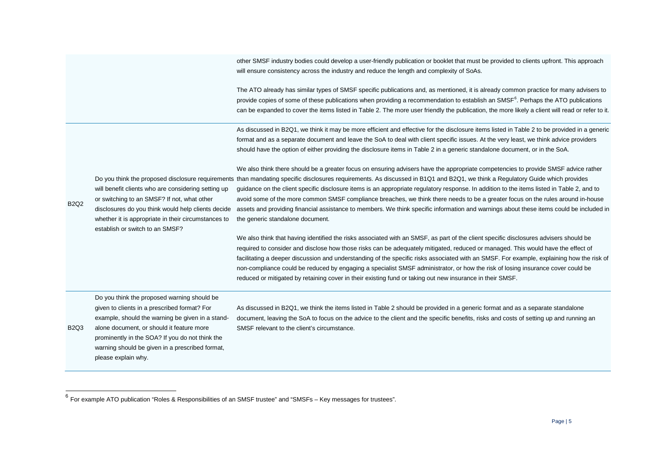<span id="page-6-0"></span>other SMSF industry bodies could develop a user-friendly publication or booklet that must be provided to clients upfront. This approach will ensure consistency across the industry and reduce the length and complexity of SoAs.

The ATO already has similar types of SMSF specific publications and, as mentioned, it is already common practice for many advisers to provide copies of some of these publications when providing a recommendation to establish an SMSF<sup>[6](#page-6-0)</sup>. Perhaps the ATO publications can be expanded to cover the items listed in Table 2. The more user friendly the publication, the more likely a client will read or refer to it.

As discussed in B2Q1, we think it may be more efficient and effective for the disclosure items listed in Table 2 to be provided in a generic format and as a separate document and leave the SoA to deal with client specific issues. At the very least, we think advice providers should have the option of either providing the disclosure items in Table 2 in a generic standalone document, or in the SoA.

will benefit clients who are considering setting up or switching to an SMSF? If not, what other

disclosures do you think would help clients decide whether it is appropriate in their circumstances to establish or switch to an SMSF?

B2Q2

 $\overline{a}$ 

Do you think the proposed disclosure requirements than mandating specific disclosures requirements. As discussed in B1Q1 and B2Q1, we think a Regulatory Guide which provides We also think there should be a greater focus on ensuring advisers have the appropriate competencies to provide SMSF advice rather guidance on the client specific disclosure items is an appropriate regulatory response. In addition to the items listed in Table 2, and to avoid some of the more common SMSF compliance breaches, we think there needs to be a greater focus on the rules around in-house assets and providing financial assistance to members. We think specific information and warnings about these items could be included in the generic standalone document.

> We also think that having identified the risks associated with an SMSF, as part of the client specific disclosures advisers should be required to consider and disclose how those risks can be adequately mitigated, reduced or managed. This would have the effect of facilitating a deeper discussion and understanding of the specific risks associated with an SMSF. For example, explaining how the risk of non-compliance could be reduced by engaging a specialist SMSF administrator, or how the risk of losing insurance cover could be reduced or mitigated by retaining cover in their existing fund or taking out new insurance in their SMSF.

Do you think the proposed warning should be given to clients in a prescribed format? For example, should the warning be given in a stand-

B2Q3 alone document, or should it feature more prominently in the SOA? If you do not think the warning should be given in a prescribed format, please explain why.

As discussed in B2Q1, we think the items listed in Table 2 should be provided in a generic format and as a separate standalone document, leaving the SoA to focus on the advice to the client and the specific benefits, risks and costs of setting up and running an SMSF relevant to the client's circumstance.

 $^6$  For example ATO publication "Roles & Responsibilities of an SMSF trustee" and "SMSFs – Key messages for trustees".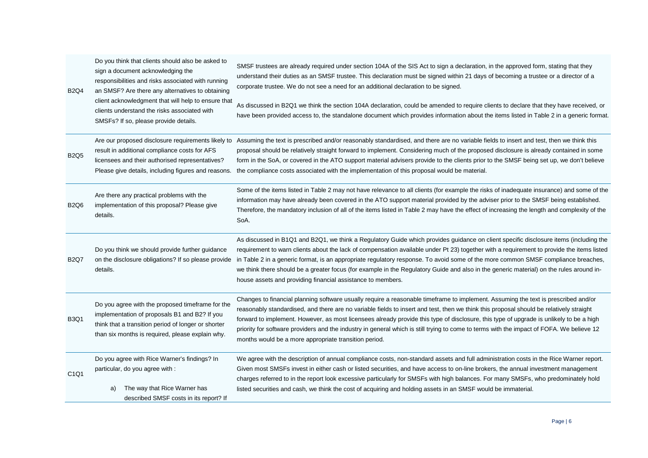| <b>B2Q4</b>                   | Do you think that clients should also be asked to<br>sign a document acknowledging the<br>responsibilities and risks associated with running<br>an SMSF? Are there any alternatives to obtaining<br>client acknowledgment that will help to ensure that<br>clients understand the risks associated with<br>SMSFs? If so, please provide details. | SMSF trustees are already required under section 104A of the SIS Act to sign a declaration, in the approved form, stating that they<br>understand their duties as an SMSF trustee. This declaration must be signed within 21 days of becoming a trustee or a director of a<br>corporate trustee. We do not see a need for an additional declaration to be signed.<br>As discussed in B2Q1 we think the section 104A declaration, could be amended to require clients to declare that they have received, or<br>have been provided access to, the standalone document which provides information about the items listed in Table 2 in a generic format. |
|-------------------------------|--------------------------------------------------------------------------------------------------------------------------------------------------------------------------------------------------------------------------------------------------------------------------------------------------------------------------------------------------|--------------------------------------------------------------------------------------------------------------------------------------------------------------------------------------------------------------------------------------------------------------------------------------------------------------------------------------------------------------------------------------------------------------------------------------------------------------------------------------------------------------------------------------------------------------------------------------------------------------------------------------------------------|
| <b>B2Q5</b>                   | Are our proposed disclosure requirements likely to<br>result in additional compliance costs for AFS<br>licensees and their authorised representatives?<br>Please give details, including figures and reasons.                                                                                                                                    | Assuming the text is prescribed and/or reasonably standardised, and there are no variable fields to insert and test, then we think this<br>proposal should be relatively straight forward to implement. Considering much of the proposed disclosure is already contained in some<br>form in the SoA, or covered in the ATO support material advisers provide to the clients prior to the SMSF being set up, we don't believe<br>the compliance costs associated with the implementation of this proposal would be material.                                                                                                                            |
| <b>B2Q6</b>                   | Are there any practical problems with the<br>implementation of this proposal? Please give<br>details.                                                                                                                                                                                                                                            | Some of the items listed in Table 2 may not have relevance to all clients (for example the risks of inadequate insurance) and some of the<br>information may have already been covered in the ATO support material provided by the adviser prior to the SMSF being established.<br>Therefore, the mandatory inclusion of all of the items listed in Table 2 may have the effect of increasing the length and complexity of the<br>SoA.                                                                                                                                                                                                                 |
| <b>B2Q7</b>                   | Do you think we should provide further guidance<br>on the disclosure obligations? If so please provide<br>details.                                                                                                                                                                                                                               | As discussed in B1Q1 and B2Q1, we think a Regulatory Guide which provides guidance on client specific disclosure items (including the<br>requirement to warn clients about the lack of compensation available under Pt 23) together with a requirement to provide the items listed<br>in Table 2 in a generic format, is an appropriate regulatory response. To avoid some of the more common SMSF compliance breaches,<br>we think there should be a greater focus (for example in the Regulatory Guide and also in the generic material) on the rules around in-<br>house assets and providing financial assistance to members.                      |
| <b>B3Q1</b>                   | Do you agree with the proposed timeframe for the<br>implementation of proposals B1 and B2? If you<br>think that a transition period of longer or shorter<br>than six months is required, please explain why.                                                                                                                                     | Changes to financial planning software usually require a reasonable timeframe to implement. Assuming the text is prescribed and/or<br>reasonably standardised, and there are no variable fields to insert and test, then we think this proposal should be relatively straight<br>forward to implement. However, as most licensees already provide this type of disclosure, this type of upgrade is unlikely to be a high<br>priority for software providers and the industry in general which is still trying to come to terms with the impact of FOFA. We believe 12<br>months would be a more appropriate transition period.                         |
| C <sub>1</sub> Q <sub>1</sub> | Do you agree with Rice Warner's findings? In<br>particular, do you agree with :<br>The way that Rice Warner has<br>a)<br>described SMSF costs in its report? If                                                                                                                                                                                  | We agree with the description of annual compliance costs, non-standard assets and full administration costs in the Rice Warner report.<br>Given most SMSFs invest in either cash or listed securities, and have access to on-line brokers, the annual investment management<br>charges referred to in the report look excessive particularly for SMSFs with high balances. For many SMSFs, who predominately hold<br>listed securities and cash, we think the cost of acquiring and holding assets in an SMSF would be immaterial.                                                                                                                     |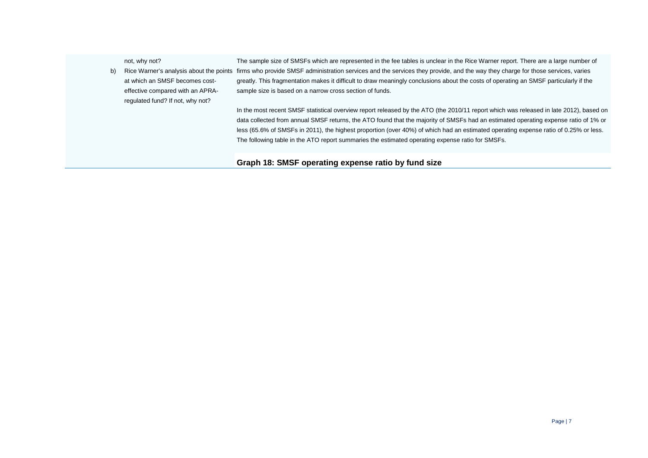|    | not, why not?                    | The sample size of SMSFs which are represented in the fee tables is unclear in the Rice Warner report. There are a large number of                                       |
|----|----------------------------------|--------------------------------------------------------------------------------------------------------------------------------------------------------------------------|
| b) |                                  | Rice Warner's analysis about the points firms who provide SMSF administration services and the services they provide, and the way they charge for those services, varies |
|    | at which an SMSF becomes cost-   | greatly. This fragmentation makes it difficult to draw meaningly conclusions about the costs of operating an SMSF particularly if the                                    |
|    | effective compared with an APRA- | sample size is based on a narrow cross section of funds.                                                                                                                 |
|    | regulated fund? If not, why not? |                                                                                                                                                                          |
|    |                                  | In the most recent SMSF statistical overview report released by the ATO (the 2010/11 report which was released in late 2012), based on                                   |
|    |                                  | data collected from annual SMSF returns, the ATO found that the majority of SMSFs had an estimated operating expense ratio of 1% or                                      |
|    |                                  | less (65.6% of SMSFs in 2011), the highest proportion (over 40%) of which had an estimated operating expense ratio of 0.25% or less.                                     |
|    |                                  | The following table in the ATO report summaries the estimated operating expense ratio for SMSFs.                                                                         |
|    |                                  |                                                                                                                                                                          |
|    |                                  | Graph 18: SMSF operating expense ratio by fund size                                                                                                                      |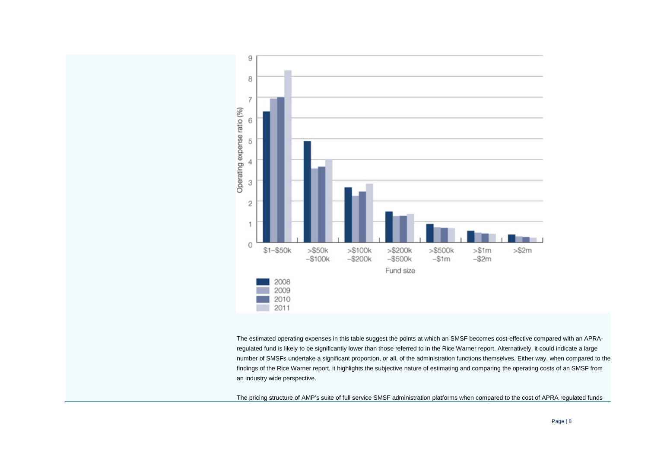

The estimated operating expenses in this table suggest the points at which an SMSF becomes cost-effective compared with an APRAregulated fund is likely to be significantly lower than those referred to in the Rice Warner report. Alternatively, it could indicate a large number of SMSFs undertake a significant proportion, or all, of the administration functions themselves. Either way, when compared to the findings of the Rice Warner report, it highlights the subjective nature of estimating and comparing the operating costs of an SMSF from an industry wide perspective.

The pricing structure of AMP's suite of full service SMSF administration platforms when compared to the cost of APRA regulated funds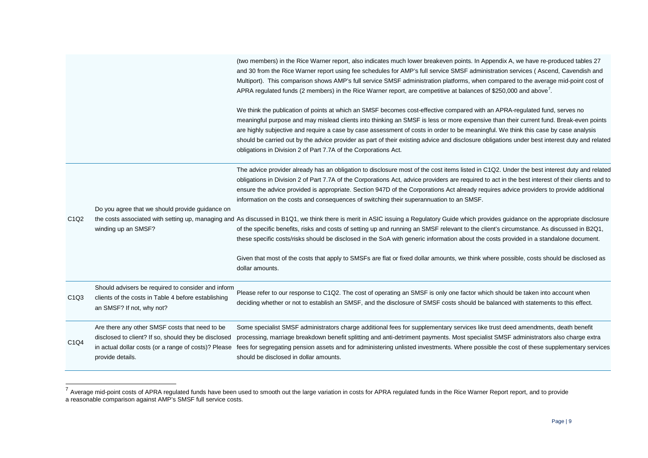<span id="page-10-0"></span>

|                               |                                                                                                                                                                                    | (two members) in the Rice Warner report, also indicates much lower breakeven points. In Appendix A, we have re-produced tables 27<br>and 30 from the Rice Warner report using fee schedules for AMP's full service SMSF administration services (Ascend, Cavendish and<br>Multiport). This comparison shows AMP's full service SMSF administration platforms, when compared to the average mid-point cost of<br>APRA regulated funds (2 members) in the Rice Warner report, are competitive at balances of \$250,000 and above'.                                                                                               |
|-------------------------------|------------------------------------------------------------------------------------------------------------------------------------------------------------------------------------|--------------------------------------------------------------------------------------------------------------------------------------------------------------------------------------------------------------------------------------------------------------------------------------------------------------------------------------------------------------------------------------------------------------------------------------------------------------------------------------------------------------------------------------------------------------------------------------------------------------------------------|
|                               |                                                                                                                                                                                    | We think the publication of points at which an SMSF becomes cost-effective compared with an APRA-regulated fund, serves no<br>meaningful purpose and may mislead clients into thinking an SMSF is less or more expensive than their current fund. Break-even points<br>are highly subjective and require a case by case assessment of costs in order to be meaningful. We think this case by case analysis<br>should be carried out by the advice provider as part of their existing advice and disclosure obligations under best interest duty and related<br>obligations in Division 2 of Part 7.7A of the Corporations Act. |
|                               | Do you agree that we should provide guidance on                                                                                                                                    | The advice provider already has an obligation to disclosure most of the cost items listed in C1Q2. Under the best interest duty and related<br>obligations in Division 2 of Part 7.7A of the Corporations Act, advice providers are required to act in the best interest of their clients and to<br>ensure the advice provided is appropriate. Section 947D of the Corporations Act already requires advice providers to provide additional<br>information on the costs and consequences of switching their superannuation to an SMSF.                                                                                         |
| C <sub>1</sub> Q <sub>2</sub> | winding up an SMSF?                                                                                                                                                                | the costs associated with setting up, managing and As discussed in B1Q1, we think there is merit in ASIC issuing a Regulatory Guide which provides guidance on the appropriate disclosure<br>of the specific benefits, risks and costs of setting up and running an SMSF relevant to the client's circumstance. As discussed in B2Q1,<br>these specific costs/risks should be disclosed in the SoA with generic information about the costs provided in a standalone document.                                                                                                                                                 |
|                               |                                                                                                                                                                                    | Given that most of the costs that apply to SMSFs are flat or fixed dollar amounts, we think where possible, costs should be disclosed as<br>dollar amounts.                                                                                                                                                                                                                                                                                                                                                                                                                                                                    |
| C <sub>1</sub> Q <sub>3</sub> | Should advisers be required to consider and inform<br>clients of the costs in Table 4 before establishing<br>an SMSF? If not, why not?                                             | Please refer to our response to C1Q2. The cost of operating an SMSF is only one factor which should be taken into account when<br>deciding whether or not to establish an SMSF, and the disclosure of SMSF costs should be balanced with statements to this effect.                                                                                                                                                                                                                                                                                                                                                            |
| C <sub>1</sub> Q <sub>4</sub> | Are there any other SMSF costs that need to be<br>disclosed to client? If so, should they be disclosed<br>in actual dollar costs (or a range of costs)? Please<br>provide details. | Some specialist SMSF administrators charge additional fees for supplementary services like trust deed amendments, death benefit<br>processing, marriage breakdown benefit splitting and anti-detriment payments. Most specialist SMSF administrators also charge extra<br>fees for segregating pension assets and for administering unlisted investments. Where possible the cost of these supplementary services<br>should be disclosed in dollar amounts.                                                                                                                                                                    |

 $^7$  Average mid-point costs of APRA regulated funds have been used to smooth out the large variation in costs for APRA regulated funds in the Rice Warner Report report, and to provide a reasonable comparison against AMP's SMSF full service costs.

 $\overline{a}$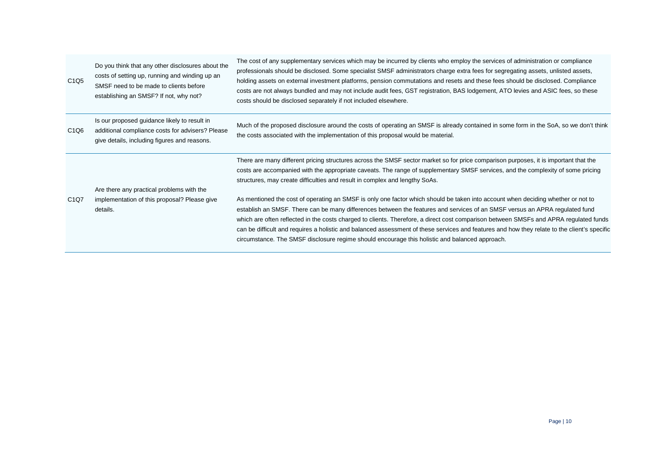| C <sub>1</sub> Q <sub>5</sub> | Do you think that any other disclosures about the<br>costs of setting up, running and winding up an<br>SMSF need to be made to clients before<br>establishing an SMSF? If not, why not? | The cost of any supplementary services which may be incurred by clients who employ the services of administration or compliance<br>professionals should be disclosed. Some specialist SMSF administrators charge extra fees for segregating assets, unlisted assets,<br>holding assets on external investment platforms, pension commutations and resets and these fees should be disclosed. Compliance<br>costs are not always bundled and may not include audit fees, GST registration, BAS lodgement, ATO levies and ASIC fees, so these<br>costs should be disclosed separately if not included elsewhere.                                             |
|-------------------------------|-----------------------------------------------------------------------------------------------------------------------------------------------------------------------------------------|------------------------------------------------------------------------------------------------------------------------------------------------------------------------------------------------------------------------------------------------------------------------------------------------------------------------------------------------------------------------------------------------------------------------------------------------------------------------------------------------------------------------------------------------------------------------------------------------------------------------------------------------------------|
| C <sub>1</sub> Q <sub>6</sub> | Is our proposed guidance likely to result in<br>additional compliance costs for advisers? Please<br>give details, including figures and reasons.                                        | Much of the proposed disclosure around the costs of operating an SMSF is already contained in some form in the SoA, so we don't think<br>the costs associated with the implementation of this proposal would be material.                                                                                                                                                                                                                                                                                                                                                                                                                                  |
|                               | Are there any practical problems with the                                                                                                                                               | There are many different pricing structures across the SMSF sector market so for price comparison purposes, it is important that the<br>costs are accompanied with the appropriate caveats. The range of supplementary SMSF services, and the complexity of some pricing<br>structures, may create difficulties and result in complex and lengthy SoAs.                                                                                                                                                                                                                                                                                                    |
| C1Q7                          | implementation of this proposal? Please give<br>details.                                                                                                                                | As mentioned the cost of operating an SMSF is only one factor which should be taken into account when deciding whether or not to<br>establish an SMSF. There can be many differences between the features and services of an SMSF versus an APRA regulated fund<br>which are often reflected in the costs charged to clients. Therefore, a direct cost comparison between SMSFs and APRA regulated funds<br>can be difficult and requires a holistic and balanced assessment of these services and features and how they relate to the client's specific<br>circumstance. The SMSF disclosure regime should encourage this holistic and balanced approach. |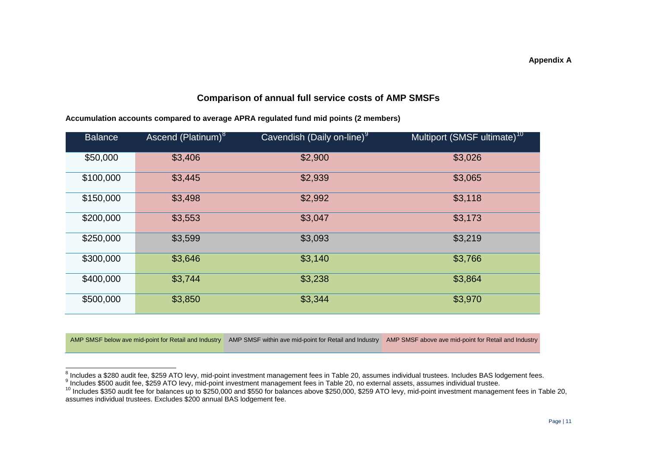## <span id="page-12-2"></span><span id="page-12-1"></span><span id="page-12-0"></span>**Comparison of annual full service costs of AMP SMSFs**

|  | Accumulation accounts compared to average APRA regulated fund mid points (2 members) |
|--|--------------------------------------------------------------------------------------|
|--|--------------------------------------------------------------------------------------|

| <b>Balance</b> | Ascend (Platinum) <sup>8</sup> | Cavendish (Daily on-line) <sup>9</sup> | Multiport (SMSF ultimate) <sup>10</sup> |
|----------------|--------------------------------|----------------------------------------|-----------------------------------------|
| \$50,000       | \$3,406                        | \$2,900                                | \$3,026                                 |
| \$100,000      | \$3,445                        | \$2,939                                | \$3,065                                 |
| \$150,000      | \$3,498                        | \$2,992                                | \$3,118                                 |
| \$200,000      | \$3,553                        | \$3,047                                | \$3,173                                 |
| \$250,000      | \$3,599                        | \$3,093                                | \$3,219                                 |
| \$300,000      | \$3,646                        | \$3,140                                | \$3,766                                 |
| \$400,000      | \$3,744                        | \$3,238                                | \$3,864                                 |
| \$500,000      | \$3,850                        | \$3,344                                | \$3,970                                 |

AMP SMSF below ave mid-point for Retail and Industry AMP SMSF within ave mid-point for Retail and Industry AMP SMSF above ave mid-point for Retail and Industry

<sup>&</sup>lt;sup>8</sup> Includes a \$280 audit fee, \$259 ATO levy, mid-point investment management fees in Table 20, assumes individual trustees. Includes BAS lodgement fees.<br><sup>9</sup> Includes \$500 audit fee, \$259 ATO levy, mid-point investment man  $\overline{a}$ 

assumes individual trustees. Excludes \$200 annual BAS lodgement fee.